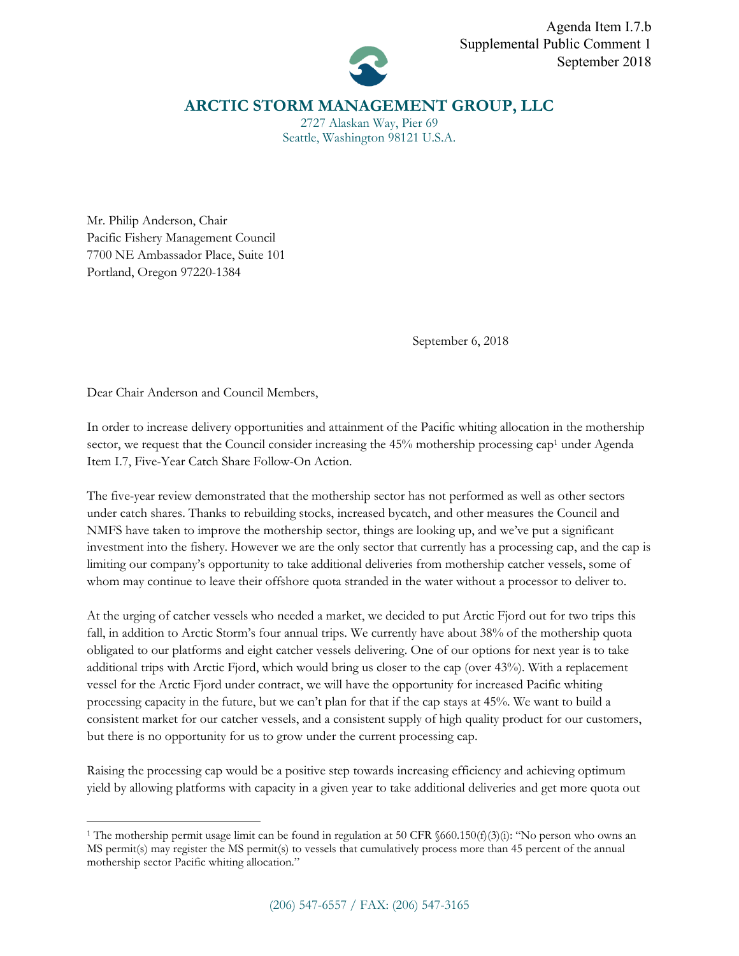

## **ARCTIC STORM MANAGEMENT GROUP, LLC**

2727 Alaskan Way, Pier 69 Seattle, Washington 98121 U.S.A.

Mr. Philip Anderson, Chair Pacific Fishery Management Council 7700 NE Ambassador Place, Suite 101 Portland, Oregon 97220-1384

September 6, 2018

Dear Chair Anderson and Council Members,

 $\overline{\phantom{a}}$ 

In order to increase delivery opportunities and attainment of the Pacific whiting allocation in the mothership sector, we request that the Council consider increasing the 45% mothership processing cap<sup>1</sup> under Agenda Item I.7, Five-Year Catch Share Follow-On Action.

The five-year review demonstrated that the mothership sector has not performed as well as other sectors under catch shares. Thanks to rebuilding stocks, increased bycatch, and other measures the Council and NMFS have taken to improve the mothership sector, things are looking up, and we've put a significant investment into the fishery. However we are the only sector that currently has a processing cap, and the cap is limiting our company's opportunity to take additional deliveries from mothership catcher vessels, some of whom may continue to leave their offshore quota stranded in the water without a processor to deliver to.

At the urging of catcher vessels who needed a market, we decided to put Arctic Fjord out for two trips this fall, in addition to Arctic Storm's four annual trips. We currently have about 38% of the mothership quota obligated to our platforms and eight catcher vessels delivering. One of our options for next year is to take additional trips with Arctic Fjord, which would bring us closer to the cap (over 43%). With a replacement vessel for the Arctic Fjord under contract, we will have the opportunity for increased Pacific whiting processing capacity in the future, but we can't plan for that if the cap stays at 45%. We want to build a consistent market for our catcher vessels, and a consistent supply of high quality product for our customers, but there is no opportunity for us to grow under the current processing cap.

Raising the processing cap would be a positive step towards increasing efficiency and achieving optimum yield by allowing platforms with capacity in a given year to take additional deliveries and get more quota out

<sup>1</sup> The mothership permit usage limit can be found in regulation at 50 CFR §660.150(f)(3)(i): "No person who owns an MS permit(s) may register the MS permit(s) to vessels that cumulatively process more than 45 percent of the annual mothership sector Pacific whiting allocation."